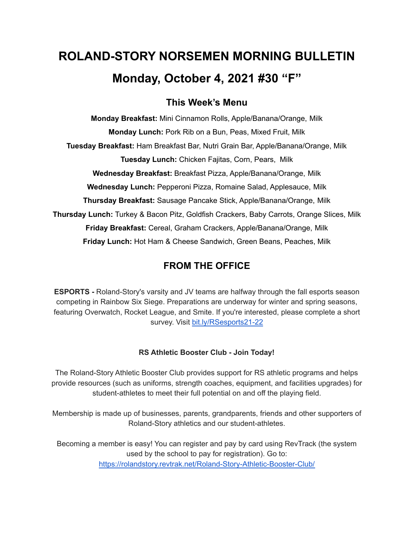# **ROLAND-STORY NORSEMEN MORNING BULLETIN Monday, October 4, 2021 #30 "F"**

# **This Week's Menu**

**Monday Breakfast:** Mini Cinnamon Rolls, Apple/Banana/Orange, Milk **Monday Lunch:** Pork Rib on a Bun, Peas, Mixed Fruit, Milk **Tuesday Breakfast:** Ham Breakfast Bar, Nutri Grain Bar, Apple/Banana/Orange, Milk **Tuesday Lunch:** Chicken Fajitas, Corn, Pears, Milk **Wednesday Breakfast:** Breakfast Pizza, Apple/Banana/Orange, Milk **Wednesday Lunch:** Pepperoni Pizza, Romaine Salad, Applesauce, Milk **Thursday Breakfast:** Sausage Pancake Stick, Apple/Banana/Orange, Milk **Thursday Lunch:** Turkey & Bacon Pitz, Goldfish Crackers, Baby Carrots, Orange Slices, Milk **Friday Breakfast:** Cereal, Graham Crackers, Apple/Banana/Orange, Milk **Friday Lunch:** Hot Ham & Cheese Sandwich, Green Beans, Peaches, Milk

# **FROM THE OFFICE**

**ESPORTS -** Roland-Story's varsity and JV teams are halfway through the fall esports season competing in Rainbow Six Siege. Preparations are underway for winter and spring seasons, featuring Overwatch, Rocket League, and Smite. If you're interested, please complete a short survey. Visit [bit.ly/RSesports21-22](http://bit.ly/RSesports21-22)

# **RS Athletic Booster Club - Join Today!**

The Roland-Story Athletic Booster Club provides support for RS athletic programs and helps provide resources (such as uniforms, strength coaches, equipment, and facilities upgrades) for student-athletes to meet their full potential on and off the playing field.

Membership is made up of businesses, parents, grandparents, friends and other supporters of Roland-Story athletics and our student-athletes.

Becoming a member is easy! You can register and pay by card using RevTrack (the system used by the school to pay for registration). Go to: <https://rolandstory.revtrak.net/Roland-Story-Athletic-Booster-Club/>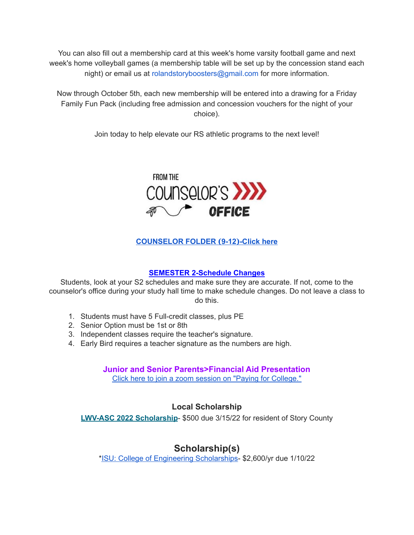You can also fill out a membership card at this week's home varsity football game and next week's home volleyball games (a membership table will be set up by the concession stand each night) or email us at rolandstoryboosters@gmail.com for more information.

Now through October 5th, each new membership will be entered into a drawing for a Friday Family Fun Pack (including free admission and concession vouchers for the night of your choice).

Join today to help elevate our RS athletic programs to the next level!



# **[COUNSELOR](https://docs.google.com/document/d/1vmwczNPbDzXe9vFaG5LJMQ7NYDv-i4oQJHybqA65TUc/edit?usp=sharing) FOLDER (9-12)-Click here**

## **SEMESTER 2-Schedule Changes**

Students, look at your S2 schedules and make sure they are accurate. If not, come to the counselor's office during your study hall time to make schedule changes. Do not leave a class to do this.

- 1. Students must have 5 Full-credit classes, plus PE
- 2. Senior Option must be 1st or 8th
- 3. Independent classes require the teacher's signature.
- 4. Early Bird requires a teacher signature as the numbers are high.

**Junior and Senior Parents>Financial Aid Presentation** Click here to join a zoom session on "Paying for [College."](https://www.icansucceed.org/about-ican/services/presentations/ican-events-and-presentations/how-to-pay-for-college-understanding-financial-aid-6bb108)

# **Local Scholarship**

**LWV-ASC 2022 [Scholarship](https://drive.google.com/file/d/1lWNMuMU5ZQdrsljKVbwVAG6NzNB8_ISl/view?usp=sharing)**- \$500 due 3/15/22 for resident of Story County

# **Scholarship(s)**

\*ISU: College of Engineering [Scholarships](https://www.engineering.iastate.edu/scholarships/first-year-students/)- \$2,600/yr due 1/10/22